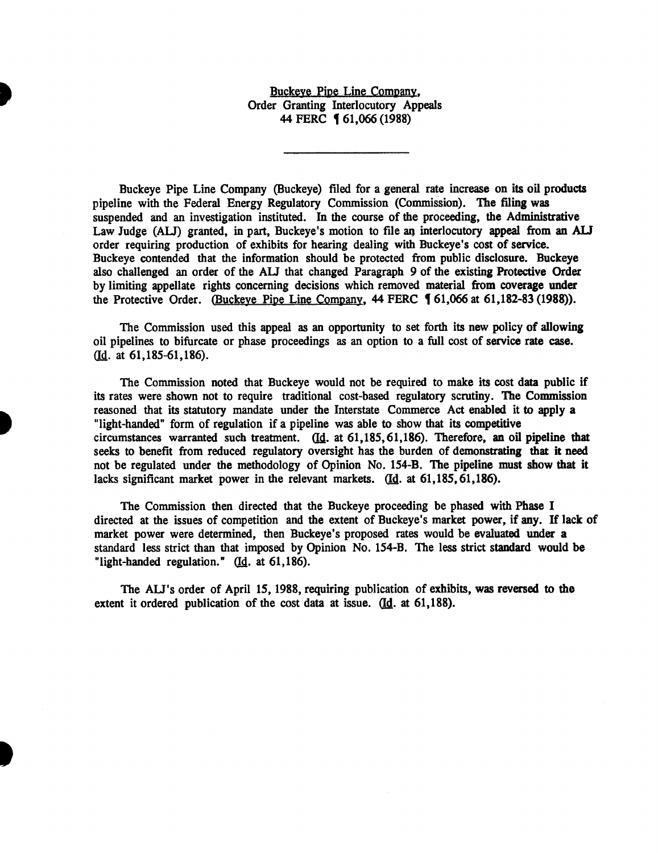## Buckeye Pipe Line Company, Order Granting Interlocutory Appeals 44 FERC **161,066 (1988)**

Buckeye Pipe Line Company (Buckeye) filed for a general rate increase on its oil products pipeline with the Federal Energy Regulatory Commission (Commission). The filing was suspended and an investigation instituted. In the course of the proceeding, the Administrative Law Judge (ALJ) granted, in part, Buckeye's motion to file an interlocutory appeal from an ALJ order requiring production of exhibits for hearing dealing with Buckeye's cost of service. Buckeye contended that the information should be protected from public disclosure. Buckeye also challenged an order of the *AU* that changed Paragraph 9 of the existing Protective Order by limiting appellate rights concerning decisions which removed material from coverage under the Protective Order. (Buckeye Pipe Line Company,  $44$  FERC  $\frac{61,066 \text{ at } 61,182-83}{1988}$ ).

The Commission used this appeal as an opportunity to set forth its new policy of allowing oil pipelines to bifurcate or phase proceedings as an option to a full cost of service rate case.  $($ Id. at 61,185-61,186 $).$ 

The Commission noted that Buckeye would not be required to make its cost data public if its rates were shown not to require traditional cost-based regulatory scrutiny. The Commission reasoned that its statutory mandate under the Interstate Commerce Act enabled it to apply a "light-handed" form of regulation if a pipeline was able to show that its competitive circumstances warranted such treatment. ffil. at 61,185, 61,186). Therefore, an oil pipeline that seeks to benefit from reduced regulatory oversight has the burden of demonstrating that it need not be regulated under the methodology of Opinion No. 154-B. The pipeline must show that it lacks significant market power in the relevant markets.  $(Id. at 61,185, 61,186)$ .

The Commission then directed that the Buckeye proceeding be phased with Phase I directed at the issues of competition and the extent of Buckeye's market power, if any. If lack of market power were determined, then Buckeye's proposed rates would be evaluated under a standard less strict than that imposed by Opinion No. 154-B. The less strict standard would be "light-handed regulation." (Id. at 61,186).

The AU's order of April 15, 1988, requiring publication of exhibits, was reversed to the extent it ordered publication of the cost data at issue.  $\underline{d}d$ . at 61,188).

t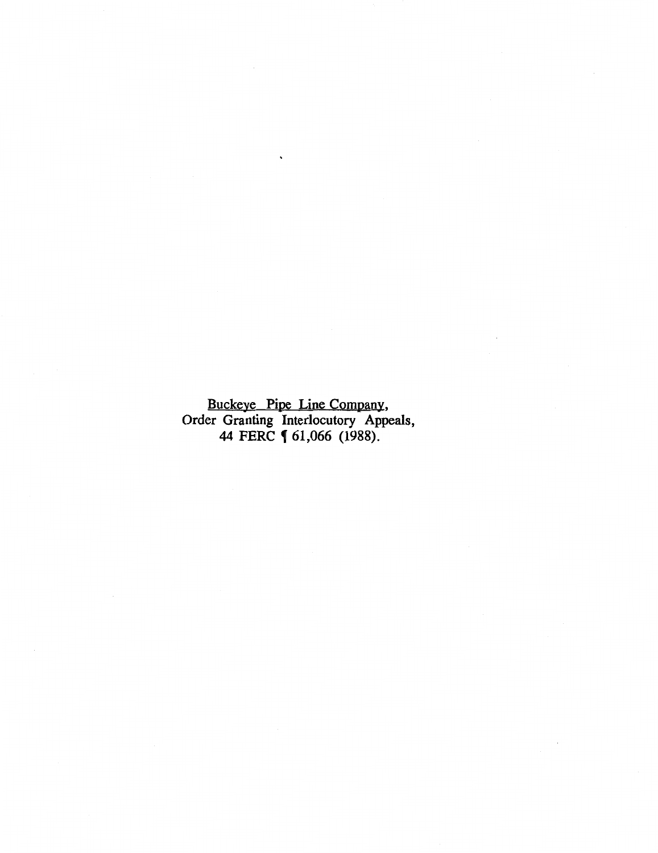Buckeye Pipe Line Company, Order Granting Interlocutory Appeals, 44 FERC **[** 61,066 (1988).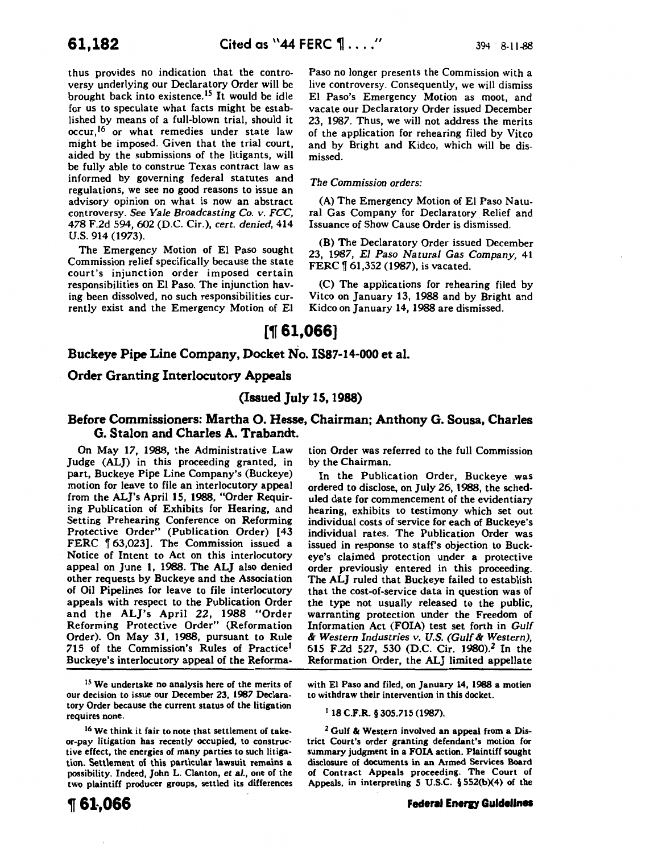thus provides no indication that the controversy underlying our Declaratory Order will be brought back into existence. 15 It would be idle for us to speculate what facts might be established by means of a full-blown trial, should it occur,<sup>16</sup> or what remedies under state law might be imposed. Given that the trial court, aided by the submissions of the litigants, will be fully able to construe Texas contract law as informed by governing federal statutes and regulations, we see no good reasons to issue an advisory opinion on what is now an abstract controversy. *See Yale Broadcasting* Co. *v. FCC,*  478 F.2d 594, 602 (D.C. Cir.), *cert. denied,* 414 u.s. 914 (1973).

The Emergency Motion of El Paso sought Commission relief specifically because the state court's injunction order imposed certain responsibilities on El Paso. The injunction having been dissolved, no such responsibilities currently exist and the Emergency Motion of EI Paso no longer presents the Commission with a live controversy. Consequently, we will dismiss El Paso's Emergency Motion as moot, and vacate our Declaratory Order issued December 23, 1987. Thus, we will not address the merits of the application for rehearing filed by Vitco and by Bright and Kidco, which will be dismissed.

### *The Commission orders:*

(A) The Emergency Motion of EI Paso Natural Gas Company for Declaratory Relief and Issuance of Show Cause Order is dismissed.

(B) The Declaratory Order issued December 23, 1987, *El Paso Natural Gas Company,* 41 FERC  $\llbracket 61,352$  (1987), is vacated.

(C) The applications for rehearing filed by Vitco on January 13, 1988 and by Bright and Kidco on January 14, 1988 are dismissed.

# $[$  1,066]

### Buckeye Pipe Line Company, Docket No. 1887-14-000 et al.

### Order Granting Interlocutory Appeals

# (Issued July 15, 1988)

## Before Commissioners: Martha 0. Hesse, Chairman; Anthony G. Sousa, Charles G. Stalon and Charles A. Trabandt.

On May 17, 1988, the Administrative Law Judge (ALJ) in this proceeding granted, in part, Buckeye Pipe Line Company's (Buckeye) motion for leave to file an interlocutory appeal from the ALJ's April 15, 1988, "Order Requiring Publication of Exhibits for Hearing, and Setting Prehearing Conference on Reforming Protective Order" (Publication Order) [43 FERC [ 63,023]. The Commission issued a Notice of Intent to Act on this interlocutory appeal on June 1, 1988. The ALJ also denied other requests by Buckeye and the Association of Oil Pipelines for leave to file interlocutory appeals with respect to the Publication Order and the ALJ's April 22, 1988 "Order Reforming Protective Order" (Reformation Order). On May 31, 1988, pursuant to Rule 715 of the Commission's Rules of Practice<sup>1</sup> Buckeye's interlocutory appeal of the Reforma-

<sup>15</sup> We undertake no analysis here of the merits of our decision to issue our December 23, 1987 Declaratory Order because the current status of the litigation requires none.

16 We think it fair to note that settlement of takeor-pay litigation has recently occupied, to constructive effect, the energies of many parties to such litigation. Settlement of this particular lawsuit remains a possibility. Indeed, John L. Clanton, *et al.,* one of the two plaintiff producer groups, settled its differences

tion Order was referred to the full Commission by the Chairman.

In the Publication Order, Buckeye was ordered to disclose, on July 26, 1988, the scheduled date for commencement of the evidentiary hearing, exhibits to testimony which set out individual costs of service for each of Buckeye's individual rates. The Publication Order was issued in response to staff's objection to Buckeye's claimed protection under a protective order previously entered in this proceeding. The ALJ ruled that Buckeye failed to establish that the cost-of-service data in question was of the type not usually released to the public, warranting protection under the Freedom of Information Act (FOIA) test set forth in *Gulf*  & *Western Industries v. U.S. (Gulf* & *Western),*  615 F.2d 527, 530 (D.C. Cir. 1980).2 In the Reformation Order, the ALJ limited appellate

with El Paso and filed, on January 14, 1988 a motion to withdraw their intervention in this docket.

1 18 C.F.R. § 305.715 (1987).

2 Gulf & Western involved an appeal from a District Court's order granting defendant's motion for summary judgment in a FOIA action. Plaintiff sought disclosure of documents in an Armed Services Board of Contract Appeals proceeding. The Court of Appeals, in interpreting 5 U.S.C. § 552(bX4) of the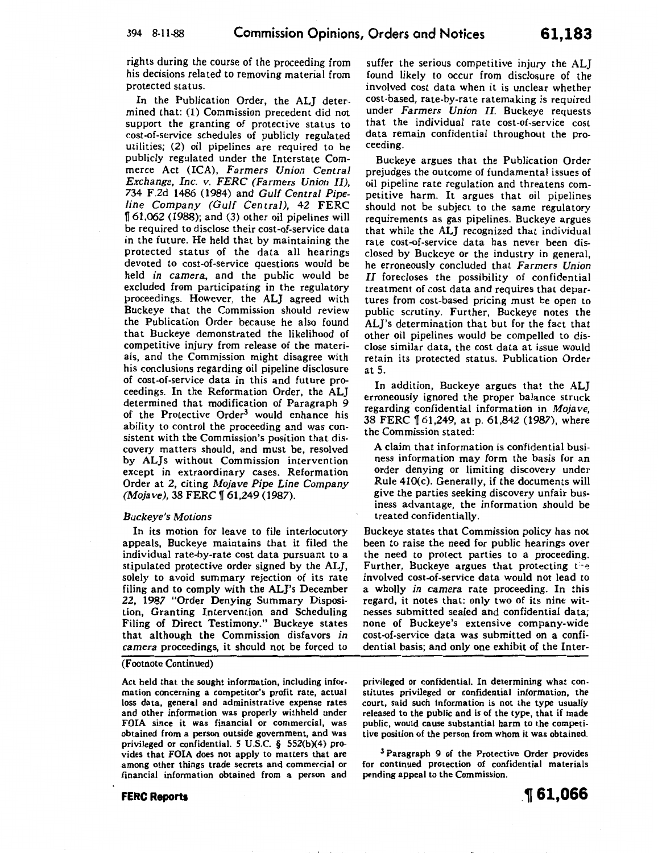rights during the course of the proceeding from his decisions related to removing material from protected status.

In the Publication Order, the ALJ determined that: (1) Commission precedent did not support the granting of protective status to cost-of-service schedules of publicly regulated utilities; (2) oil pipelines are required to be publicly regulated under the Interstate Commerce Act (ICA), *Farmers Union Central Exchange, Inc. v. FERC (Farmers Union II),*  734 F.2d 1486 (1984) and *Gulf Central Pipeline Company (Gulf Central),* 42 FERC ff 61,062 (1988); and (3) other oil pipelines will be required to disclose their cost-of-service data in the future. He held that by maintaining the protected status of the data all hearings devoted to cost-of-service questions would be held *in camera,* and the public would be excluded from participating in the regulatory proceedings. However, the ALJ agreed with Buckeye that the Commission should review the Publication Order because he also found that Buckeye demonstrated the likelihood of competitive injury from release of tbe materials, and the Commission might disagree with his conclusions regarding oil pipeline disclosure of cost-of-service data in this and future proceedings. In the Reformation Order, the ALJ determined that modification of Paragraph 9 of the Protective Order<sup>3</sup> would enhance his ability to control the proceeding and was consistent with the Commission's position that discovery matters should, and must be, resolved by AL}s without Commission intervention except in extraordinary cases. Reformation Order at 2, citing *Mojave Pipe Line Company (Mojave), 38 FERC* 161,249 (1987).

#### *Buckeye's Motions*

In its motion for leave to file interlocutory appeals, Buckeye maintains that it filed the individual rate-by-rate cost data pursuant to a stipulated protective order signed by the ALJ, solely to avoid summary rejection of its rate filing and to comply with the ALJ's December 22, 1987 "Order Denying Summary Disposition, Granting Intervention and Scheduling Filing of Direct Testimony." Buckeye states that although the Commission disfavors *in camera* proceedings, it should not be forced to

#### (Footnote Continued)

Act held that the sought information, including information concerning a competitor's profit rate, actual loss data, general and administrative expense rates and other information was properly withheld under FOIA since it was financial or commercial, was obtained from a person outside government, and was privileged or confidential. 5 U.S.C. § 552(b)(4) provides that FOIA does not apply to matters that are among other things trade secrets and commercial or financial information obtained from a person and

**FERC Reports** 

suffer the serious competitive injury the ALJ found likely to occur from disclosure of the involved cost data when it is unclear whether cost-based, rate-by-rate ratemaking is required under *Farmers Union II.* Buckeye requests that the individual rate cost-of-service cost data remain confidential throughout the proceeding.

Buckeye argues that the Publication Order prejudges the outcome of fundamental issues of oil pipeline rate regulation and threatens competitive harm. It argues that oil pipelines should not be subject to the same regulatory requirements as gas pipelines. Buckeye argues that while the ALJ recognized that individual rate cost-of-service data has never been disclosed by Buckeye or the industry in general, he erroneously concluded that *Farmers Union*  II forecloses the possibility of confidential treatment of cost data and requires that departures from cost-based pricing must be open to public scrutiny. Further, Buckeye notes the AL]'s determination that but for the fact that other oil pipelines would be compelled to disclose similar data, the cost data at issue would retain its protected status. Publication Order at 5.

In addition, Buckeye argues that the ALJ erroneously ignored the proper balance struck regarding confidential information in *Mojave,*  38 FERC ff 61,249, at p. 61,842 (1987), where the Commission stated:

A claim that information is confidential business information may form the basis for an order denying or limiting discovery under Rule 410(c). Generally, if the documents will give the parties seeking discovery unfair business advantage, the information should be treated confidentially.

Buckeye states that Commission policy has not been to raise the need for public hearings over the need to protect parties to a proceeding. Further, Buckeye argues that protecting the involved cost-of-service data would not lead to a wholly *in camera* rate proceeding. In this regard, it notes that: only two of its nine witnesses submitted sealed and confidential data; none of Buckeye's extensive company-wide cost-of-service data was submitted on a confidential basis; and only one exhibit of the Inter-

privileged or confidential. In determining what constitutes privileged or confidential information, the court, said such information is not the type usually released to the public and is of the type, that if made public, would cause substantial harm to the competitive position of the person from whom it was obtained.

<sup>3</sup> Paragraph 9 of the Protective Order provides for continued protection of confidential materials pending appeal to the Commission.

1 I I•· l· • ••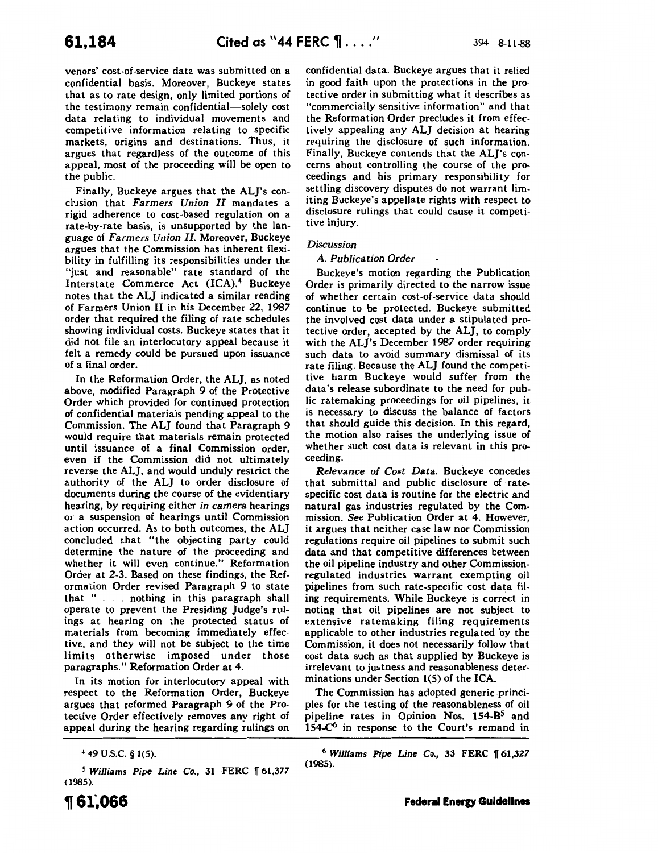venors' cost-of-service data was submitted on a confidential basis. Moreover, Buckeye states that as to rate design, only limited portions of the testimony remain confidential-solely cost data relating to individual movements and competitive information relating to specific markets, origins and destinations. Thus, it argues that regardless of the outcome of this appeal, most of the proceeding will be open to the public.

Finally, Buckeye argues that the AL]'s conclusion that *Farmers Union II* mandates a rigid adherence to cost-based regulation on a rate-by-rate basis, is unsupported by the language of *Farmers Union II.* Moreover, Buckeye argues that the Commission has inherent flexibility in fulfilling its responsibilities under the "just and reasonable" rate standard of the Interstate Commerce Act (ICA).4 Buckeye notes that the ALJ indicated a similar reading of Farmers Union II in his December 22, 1987 order that required the filing of rate schedules showing individual costs. Buckeye states that it did not file an interlocutory appeal because it felt a remedy could be pursued upon issuance of a final order.

In the Reformation Order, the ALJ, as noted above, modified Paragraph 9 of the Protective Order which provided for continued protection of confidential materials pending appeal to the Commission. The ALJ found that Paragraph 9 would require that materials remain protected until issuance of a final Commission order, even if the Commission did not ultimately reverse the ALJ, and would unduly restrict the authority of the ALJ to order disclosure of documents during the course of the evidentiary hearing, by requiring either *in camera* hearings or a suspension of hearings until Commission action occurred. As to both outcomes, the ALJ concluded that "the objecting party could determine the nature of the proceeding and whether it will even continue." Reformation Order at 2-3. Based on these findings, the Reformation Order revised Paragraph 9 to state that " . . . nothing in this paragraph shall operate to prevent the Presiding Judge's rulings at hearing on the protected status of materials from becoming immediately effective, and they will not be subject to the time limits otherwise imposed under those paragraphs." Reformation Order at 4.

In its motion for interlocutory appeal with respect to the Reformation Order, Buckeye argues that reformed Paragraph 9 of the Protective Order effectively removes any right of appeal during the hearing regarding rulings on

 $449$  U.S.C. § 1(5).

<sup>5</sup> Williams Pipe Line Co., 31 FERC 161,377 (1985).

confidential data. Buckeye argues that it relied in good faith upon the protections in the protective order in submitting what it describes as "commercially sensitive information" and that the Reformation Order precludes it from effectively appealing any ALJ decision at hearing requiring the disclosure of such information. Finally, Buckeye contends that the AL]'s concerns about controlling the course of the proceedings and his primary responsibility for settling discovery disputes do not warrant limiting Buckeye's appellate rights with respect to disclosure rulings that could cause it competitive injury.

#### *Discussion*

#### *A. Publication Order*

Buckeye's motion regarding the Publication Order is primarily directed to the narrow issue of whether certain cost-of-service data should continue to be protected. Buckeye submitted the involved cost data under a stipulated protective order, accepted by the ALJ, to comply with the AL]'s December 1987 order requiring such data to avoid summary dismissal of its rate filing. Because the ALJ found the competitive harm Buckeye would suffer from the data's release subordinate to the need for public ratemaking proceedings for oil pipelines, it is necessary to discuss the balance of factors that should guide this decision. In this regard, the motion also raises the underlying issue of whether such cost data is relevant in this proceeding.

*Relevance of Cost Data.* Buckeye concedes that submittal and public disclosure of ratespecific cost data is routine for the electric and natural gas industries regulated by the Commission. *See* Publication Order at 4. However, it argues that neither case law nor Commission regulations require oil pipelines to submit such data and that competitive differences between the oil pipeline industry and other Commissionregulated industries warrant exempting oil pipelines from such rate-specific cost data filing requirements. While Buckeye is correct in noting that oil pipelines are not subject to extensive ratemaking filing requirements applicable to other industries regulated by the Commission, it does not necessarily follow that cost data such as that supplied by Buckeye is irrelevant to justness and reasonableness determinations under Section 1(5) of the ICA.

The Commission has adopted generic principles for the testing of the reasonableness of oil pipeline rates in Opinion Nos. 154-B<sup>5</sup> and 154- $C<sup>6</sup>$  in response to the Court's remand in

<sup>6</sup> Williams Pipe Line Co., 33 FERC 161,327 (1985).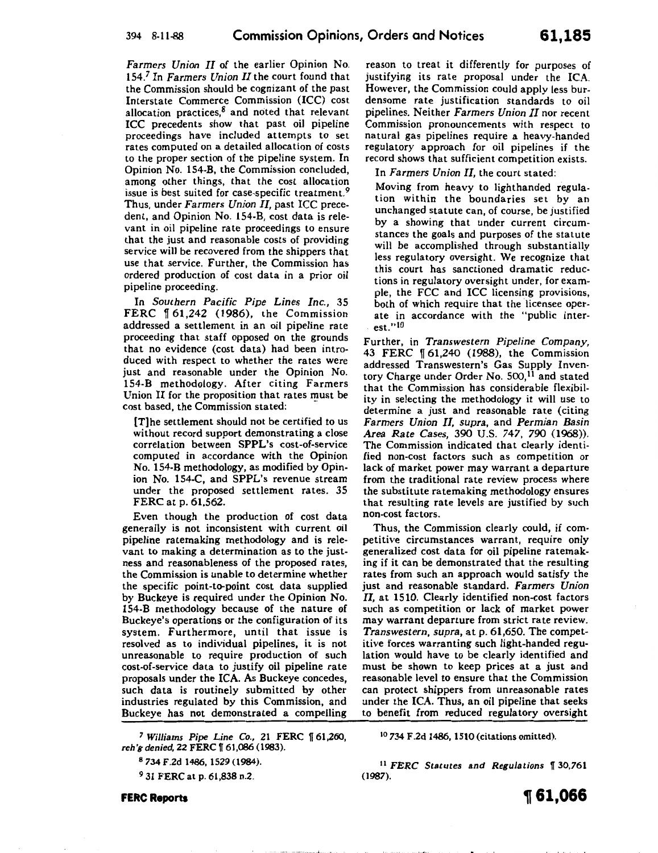*Farmers Union II* of the earlier Opinion No. 154.7 In *Farmers Union II* the court found that the Commission should be cognizant of the past Interstate Commerce Commission (ICC) cost allocation practices, $8$  and noted that relevant ICC precedents show that past oil pipeline proceedings have included attempts to set rates computed on a detailed allocation of costs to the proper section of the pipeline system. In Opinion No. 154-B, the Commission concluded, among other things, that the cost allocation issue is best suited for case-specific treatment.<sup>9</sup> Thus, under *Farmers Union IL* past ICC precedent, and Opinion No. 154-B, cost data is relevant in oil pipeline rate proceedings to ensure that the just and reasonable costs of providing service will be recovered from the shippers that use that service. Further, the Commission has ordered production of cost data in a prior oil pipeline proceeding.

In *Southern Pacific Pipe Lines Inc.,* 35 FERC  $\llbracket 61,242 \rrbracket$  (1986), the Commission addressed a settlement in an oil pipeline rate proceeding that staff opposed on the grounds that no evidence (cost data) had been introduced with respect to whether the rates were just and reasonable under the Opinion No. 154-B methodology. After citing Farmers Union II for the proposition that rates must be cost based, the Commission stated:

[T]he settlement should not be certified to us without record support demonstrating a close correlation between SPPL's cost-of-service computed in accordance with the Opinion No. 154-B methodology, as modified by Opinion No. 154-C, and SPPL's revenue stream under the proposed settlement rates. 35 FERC at p. 61,562.

Even though the production of cost data generally is not inconsistent with current oil pipeline ratemaking methodology and is relevant to making a determination as to the justness and reasonableness of the proposed rates, the Commission is unable to determine whether the specific point-to-point cost data supplied by Buckeye is required under the Opinion No. 154-B methodology because of the nature of Buckeye's operations or the configuration of its system. Furthermore, until that issue is resolved as to individual pipelines, it is not unreasonable to require production of such cost-of-service data to justify oil pipeline rate proposals under the ICA. As Buckeye concedes, such data is routinely submitted by other industries regulated by this Commission, and Buckeye has not demonstrated a compelling

<sup>7</sup> Williams Pipe Line Co., 21 FERC 161,260 *reh 'g denied, 22 FERC* | 61,086 (1983).

8 734 F.2d 1486, 1529 (1984).

<sup>9</sup> 31 FERC at p. 61,838 n.2

**FERC Reports** 

reason to treat it differently for purposes of justifying its rate proposal under the ICA. However, the Commission could apply less burdensome rate justification standards to oil pipelines. Neither *Farmers Union II* nor recent Commission pronouncements with respect to natural gas pipelines require a heavy-handed regulatory approach for oil pipelines if the record shows that sufficient competition exists.

In *Farmers Union II,* the court stated:

Moving from heavy to lighthanded regulation within the boundaries set by an unchanged statute can, of course, be justified by a showing that under current circumstances the goals and purposes of the statute will be accomplished through substantially less regulatory oversight. We recognize that this court has sanctioned dramatic reductions in regulatory oversight under, for example, the FCC and ICC licensing provisions, both of which require that the licensee operate in accordance with the "public inter- . est." <sup>10</sup>

Further, in *Transwestern Pipeline Company,*  43 FERC 161,240 (1988), the Commission addressed Transwestern's Gas Supply Inventory Charge under Order No. 500,<sup>11</sup> and stated that the Commission has considerable flexibility in selecting the methodology it will use to determine a just and reasonable rate (citing *Farmers Union II, supra,* and *Permian Basin Area Rate Cases,* 390 U.S. 747, 790 (1968)). The Commission indicated that clearly identified non-cost factors such as competition or lack of market power may warrant a departure from the traditional rate review process where the substitute ratemaking methodology ensures that resulting rate levels are justified by such non-cost factors.

Thus, the Commission clearly could, if competitive circumstances warrant, require only generalized cost data for oil pipeline ratemaking if it can be demonstrated that the resulting rates from such an approach would satisfy the just and reasonable standard. *Farmers Union*  II, at 1510. Clearly identified non-cost factors such as competition or lack of market power may warrant departure from strict rate review. *Transwestern, supra,* at p. 61,650. The competitive forces warranting such light-handed regulation would have to be clearly identified and must be shown to keep prices at a just and reasonable level to ensure that the Commission can protect shippers from unreasonable rates under the ICA. Thus, an oil pipeline that seeks to benefit from reduced regulatory oversight

<sup>10</sup>734 F.2d 1486, 1510 (citations omitted).

<sup>11</sup> FERC Statutes and Regulations \[ 30,761 (1987).

**1f 61,066**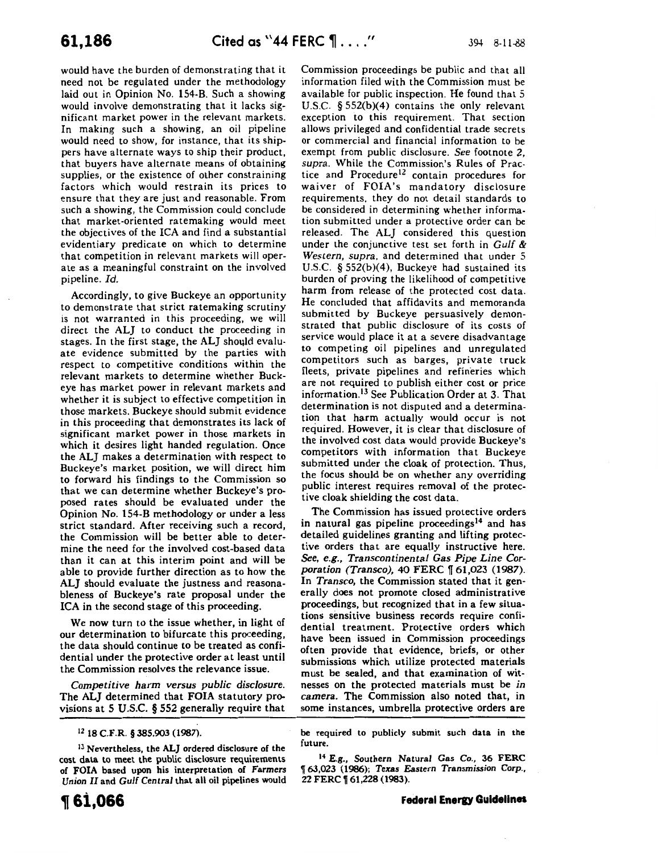would have the burden of demonstrating that it need not be regulated under the methodology laid out in Opinion No. 154-B. Such a showing would involve demonstrating that it lacks significant market power in the relevant markets. In making such a showing, an oil pipeline would need to show, for instance, that its shippers have alternate ways to ship their product, that buyers have alternate means of obtaining supplies, or the existence of other constraining factors which would restrain its prices to ensure that they are just and reasonable. From such a showing, the Commission could conclude that market-oriented ratemaking would meet the objectives of the ICA and find a substantial evidentiary predicate on which to determine that competition in relevant markets will operate as a meaningful constraint on the involved pipeline. *Id.* 

Accordingly, to give Buckeye an opportunity to demonstrate that strict ratemaking scrutiny is not warranted in this proceeding, we will direct the ALJ to conduct the proceeding in stages. In the first stage, the ALJ should evaluate evidence submitted by the parties with respect to competitive conditions within the relevant markets to determine whether Buckeye has market power in relevant markets and whether it is subject to effective competition in those markets. Buckeye should submit evidence in this proceeding that demonstrates its lack of significant market power in those markets in which it desires light handed regulation. Once the ALJ makes a determination with respect to Buckeye's market position, we will direct him to forward his findings to the Commission so that we can determine whether Buckeye's proposed rates should be evaluated under the Opinion No. 154-B methodology or under a less strict standard. After receiving such a record, the Commission will be better able to determine the need for the involved cost-based data than it can at this interim point and will be able to provide further direction as to how the ALI should evaluate the justness and reasonableness of Buckeye's rate proposal under the ICA in the second stage of this proceeding.

We now turn to the issue whether, in light of our determination to bifurcate this proceeding, the data should continue to be treated as confidential under the protective order at least until the Commission resolves the relevance issue.

*Competitive harm versus public disclosure.*  The ALJ determined that FOIA statutory provisions at 5 U.S.C. § 552 generally require that Commission proceedings be public and that all information filed with the Commission must be available for public inspection. He found that 5 U.S.C. § 552(b)(4) contains the only relevant exception to this requirement. That section allows privileged and confidential trade secrets or commercial and financial information to be exempt from public disclosure. *See* footnote 2, *supra.* While the Commission's Rules of Practice and Procedure<sup>12</sup> contain procedures for waiver of FOIA's mandatory disclosure requirements, they do not detail standards to be considered in determining whether information submitted under a protective order can be released. The ALJ considered this question under the conjunctive test set forth in *Gulf* & *Western, supra,* and determined that under 5 U.S.C. § 552(b)(4), Buckeye had sustained its burden of proving the likelihood of competitive harm from release of the protected cost data. He concluded that affidavits and memoranda submitted by Buckeye persuasively demonstrated that public disclosure of its costs of service would place it at a severe disadvantage to competing oil pipelines and unregulated competitors such as barges, private truck fleets, private pipelines and refineries which are not required to publish either cost or price information. 13 See Publication Order at 3. That determination is not disputed and a determination that harm actually would occur is not required. However, it is clear that disclosure of the involved cost data would provide Buckeye's competitors with information that Buckeye submitted under the cloak of protection. Thus, the focus should be on whether any overriding public interest requires removal of the protective cloak shielding the cost data.

The Commission has issued protective orders in natural gas pipeline proceedings<sup>14</sup> and has detailed guidelines granting and lifting protective orders that are equally instructive here. *See, e.g., Transcontinental Gas Pipe Line Corporation (Transco),* 40 FERC  $\llbracket 61,023$  (1987). In *Transco,* the Commission stated that it generally does not promote closed administrative proceedings, but recognized that in a few situations sensitive business records require confidential treatment. Protective orders which have been issued in Commission proceedings often provide that evidence, briefs, or other submissions which utilize protected materials must be sealed, and that examination of witnesses on the protected materials must be *in camera.* The Commission also noted that, in some instances, umbrella protective orders are

#### IZ 18 C.F.R. § 385.903 (1987).

<sup>13</sup> Nevertheless, the ALJ ordered disclosure of the cost data to meet the public disclosure requirements of FOIA based upon his interpretation of *Farmers*  Union *II* and *Gulf Central* that all oil pipelines would be required to publicly submit such data in the future.

<sup>14</sup>E.g., Southern Natural Gas Co., 36 FERC <sup>~</sup>63,023 (1986); *Texas Eastern Transmission Corp.,*  22 FERC | 61,228 (1983).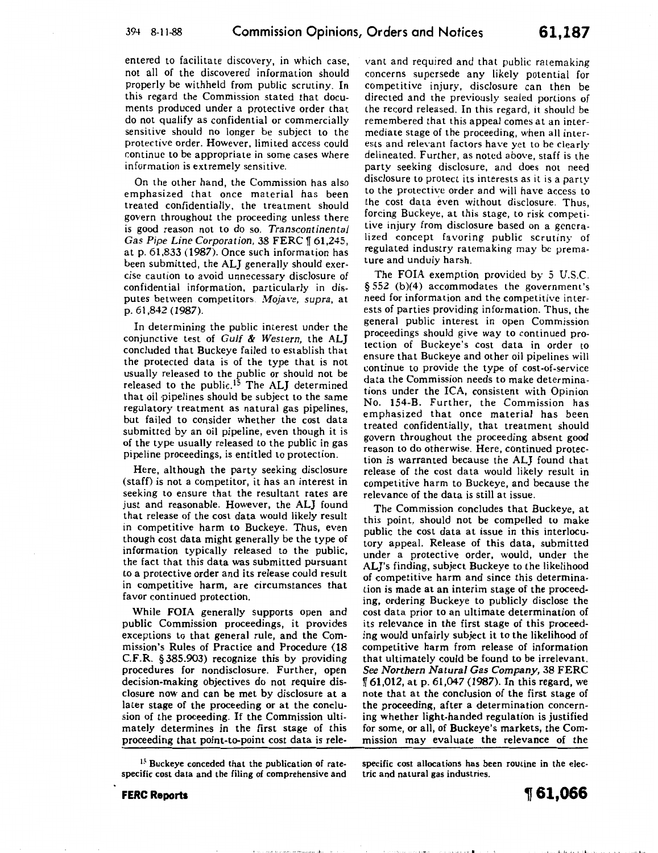entered to facilitate discovery, in which case, not all of the discovered information should properly be withheld from public scrutiny. In this regard the Commission stated that documents produced under a protective order that do not qualify as confidential or commercially sensitive should no longer be subject to the protective order. However, limited access could continue to be appropriate in some cases where information is extremely sensitive.

On the other hand, the Commission has also emphasized that once material has been treated confidentially, the treatment should govern throughout the proceeding unless there is good reason not to do so. *Transcontinental Gas Pipe Line Corporation, 38 FERC* 161,245, at p. 61,833 (1987). Once such information has been submitted, the ALJ generally should exercise caution to avoid unnecessary disclosure of confidential information, particularly in disputes between competitors. *I\1ojave, supra,* at p. 61,842 (1987).

In determining the public interest under the conjunctive test of *Gulf* & *Western,* the ALJ concluded that Buckeye failed to establish that the protected data is of the type that is not usually released to the public or should not be released to the public.<sup>15</sup> The ALJ determined that oil pipelines should be subject to the same regulatory treatment as natural gas pipelines, but failed to consider whether the cost data submitted by an oil pipeline, even though it is of the type usually released to the public in gas pipeline proceedings, is entitled to protection.

Here, although the party seeking disclosure (staff) is not a competitor, it has an interest in seeking to ensure that the resultant rates are just and reasonable. However, the ALJ found that release of the cost data would likely result in competitive harm to Buckeye. Thus, even though cost data might generally be the type of information typically released to the public, the fact that this data was submitted pursuant to a protective order and its release could result in competitive harm, are circumstances that favor continued protection.

While FOIA generally supports open and public Commission proceedings, it provides exceptions to that general rule, and the Commission's Rules of Practice and Procedure (18 C.F.R. § 385.903) recognize this by providing procedures for nondisclosure. Further, open decision-making objectives do not require disclosure now and can be met by disclosure at a later stage of the proceeding or at the conclusion of the proceeding. If the Commission ultimately determines in the first stage of this proceeding that point-to-point cost data is rele-

<sup>15</sup> Buckeye conceded that the publication of ratespecific cost data and the filing of comprehensive and

vant and required and that public ratemaking concerns supersede any likely potential for competitive injury, disclosure can then be directed and the previously sealed portions of the record released. In this regard, it should be remembered that this appeal comes at an intermediate stage of the proceeding, when all interests and relevant factors have yet to be clearly delineated. Further, as noted above, stafi is the party seeking disclosure, and does not need disclosure to protect its interests as it is a party to the protective order and will have access to the cost data even without disclosure. Thus, forcing Buckeye, at this stage, to risk competitive injury from disclosure based on a generalized concept favoring public scrutiny of regulated industry ratemaking may be premature and unduly harsh.

The FOIA exemption provided by 5 U.S.C. § 552 (b)(4) accommodates the government's need for information and the competitive interests of parties providing information. Thus, the general public interest in open Commission proceedings should give way to continued protection of Buckeye's cost data in order to ensure that Buckeye and other oil pipelines will continue to provide the type of cost-of-service data the Commission needs to make determinations under the ICA, consistent with Opinion No. 154-B. Further, the Commission has emphasized that once material has been treated confidentially, that treatment should govern throughout the proceeding absent good reason to do otherwise. Here, continued protection is warranted because the ALJ found that release of the cost data would likely result in competitive harm to Buckeye, and because the relevance of the data is still at issue.

The Commission concludes that Buckeye, at this point, should not be compelled to make public the cost data at issue in this interlocutory appeal. Release of this data, submitted under a protective order, would, under the ALJ's finding, subject Buckeye to the likelihood of competitive harm and since this determination is made at an interim stage of the proceeding, ordering Buckeye to publicly disclose the cost data prior to an ultimate determination of its relevance in the first stage of this proceeding would unfairly subject it to the likelihood of competitive harm from release of information that ultimately could be found to be irrelevant. *See Northern Natural Gas Company,* 38 FERC  $\sqrt{\phantom{0}61,012}$ , at p. 61,047 (1987). In this regard, we note that at the conclusion of the first stage of the proceeding, after a determination concerning whether light-handed regulation is justified for some, or all, of Buckeye's markets, the Commission may evaluate the relevance of the

specific cost allocations has been routine in the electric and natural gas industries.

I j \1.4•' t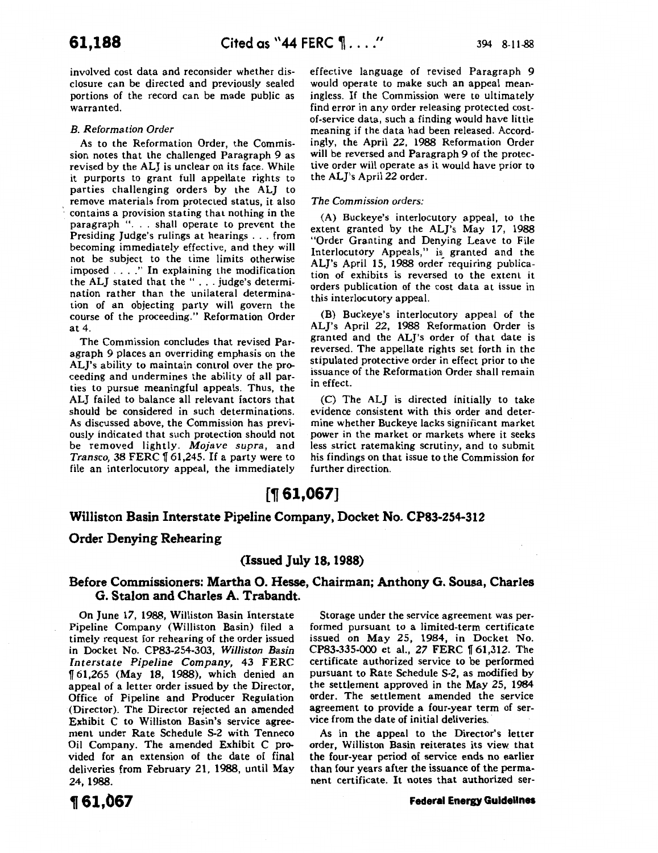involved cost data and reconsider whether disclosure can be directed and previously sealed portions of the record can be made public as warranted.

### *B. Reformation Order*

As to the Reformation Order, the Commission notes that the challenged Paragraph 9 as revised by the ALJ is unclear on its face. While it purports to grant full appellate rights to parties challenging orders by the ALJ to remove materials from protected status, it also contains a provision stating that nothing in the paragraph ". . . shall operate to prevent the Presiding Judge's rulings at hearings ... from becoming immediately effective, and they will not be subject to the time limits otherwise imposed .... " In explaining the modification the ALJ stated that the " ... judge's determination rather than the unilateral determination of an objecting party will govern the course of the proceeding." Reformation Order at 4.

The Commission concludes that revised Paragraph 9 places an overriding emphasis on the ALJ's ability to maintain control over the proceeding and undermines the ability of all parties to pursue meaningful appeals. Thus, the ALJ failed to balance all relevant factors that should be considered in such determinations. As discussed above, the Commission has previously indicated that such protection should not be removed lightly. *Mojave supra,* and *Transco, 38 FERC* 161,245. If a party were to file an interlocutory appeal, the immediately effective language of revised Paragraph 9 would operate to make such an appeal meaningless. If the Commission were to ultimately find error in any order releasing protected costof-service data, such a finding would have little meaning if the data had been released. Accordingly, the April 22, 1988 Reformation Order will be reversed and Paragraph 9 of the protective order will operate as it would have prior to the AL]'s April 22 order.

### *The Commission orders:*

(A) Buckeye's interlocutory appeal, to the extent granted by the ALJ's May 17, 1988 "Order Granting and Denying Leave to File Interlocutory Appeals," is granted and the AL]'s April 15, 1988 order requiring publication of exhibits is reversed to the extent it orders publication of the cost data at issue in this interlocutory appeal.

(B) Buckeye's interlocutory appeal of the AL]'s April 22, 1988 Reformation Order is granted and the AL]'s order of that date is reversed. The appellate rights set forth in the stipulated protective order in effect prior to the issuance of the Reformation Order shall remain in effect.

(C) The ALJ is directed initially to take evidence consistent with this order and determine whether Buckeye lacks signiiicant market power in the market or markets where it seeks less strict ratemaking scrutiny, and to submit his findings on that issue to the Commission for further direction.

# [~ **61,067]**

### **Williston Basin Interstate Pipeline Company, Docket No. CP83-254-312**

### **Order Denying Rehearing**

### **(Issued July 18, 1988)**

### **Before Commissioners: Martha 0. Hesse, Chairman; Anthony G. Sousa, Charles G. Stalon and Charles A. Trabandt.**

On June 17, 1988, Williston Basin Interstate Pipeline Company (Williston Basin) filed a timely request for rehearing of the order issued in Docket No. CP83-254-303, *Williston Basin Interstate Pipeline Company,* 43 FERC 1f 61,265 (May 18, 1988), which denied an appeal of a letter order issued by the Director, Office of Pipeline and Producer Regulation (Director). The Director rejected an amended Exhibit C to Williston Basin's service agreement under Rate Schedule S-2 with Tenneco Oil Company. The amended Exhibit C provided for an extension of the date of final deliveries from February 21, 1988, until May 24, 1988.

<sup>~</sup>**61,067** 

Storage under the service agreement was performed pursuant to a limited-term certificate issued on May 25, 1984, in Docket No. CP83-335-000 et al., 27 FERC 161,312. The certificate authorized service to be performed pursuant to Rate Schedule S-2, as modified by the settlement approved in the May 25, 1984 order. The settlement amended the service agreement to provide a four-year term of service from the date of initial deliveries.

As in the appeal to the Director's letter order, Williston Basin reiterates its view that the four-year period of service ends no earlier than four years after the issuance of the permanent certificate. It notes that authorized ser-